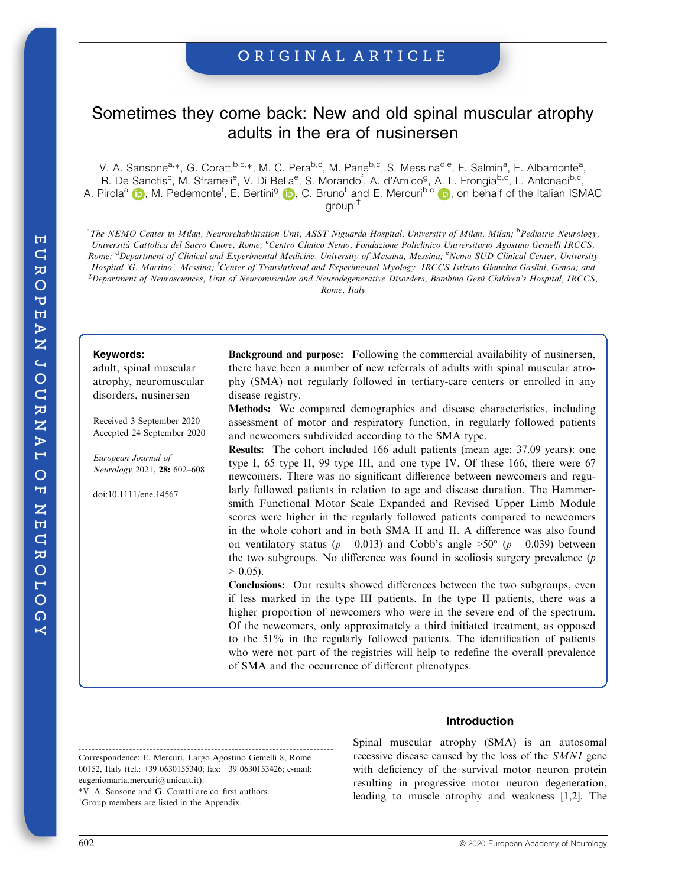# ORIGINAL ARTICLE

# Sometimes they come back: New and old spinal muscular atrophy adults in the era of nusinersen

V. A. Sansone<sup>a,\*</sup>, G. Coratti<sup>b,c,</sup>\*, M. C. Pera<sup>b,c</sup>, M. Pane<sup>b,c</sup>, S. Messina<sup>d,e</sup>, F. Salmin<sup>a</sup>, E. Albamonte<sup>a</sup>, R. De Sanctis<sup>c</sup>, M. Sframeli<sup>e</sup>, V. Di Bella<sup>e</sup>, S. Morando<sup>f</sup>, A. d'Amico<sup>g</sup>, A. L. Frongia<sup>b,c</sup>, L. Antonaci<sup>b,c</sup>, A. Pirol[a](https://orcid.org/0000-0002-0788-895X)<sup>a</sup> (D), M. Pedemonte<sup>f</sup>, E. Bertini<sup>[g](https://orcid.org/0000-0001-9276-4590)</sup> (D), C. Bruno<sup>f</sup> and E. Mer[c](https://orcid.org/0000-0002-9851-5365)uri<sup>b,c</sup> (D), on behalf of the Italian ISMAC group,†

<sup>a</sup>The NEMO Center in Milan, Neurorehabilitation Unit, ASST Niguarda Hospital, University of Milan, Milan; <sup>b</sup>Pediatric Neurology, Università Cattolica del Sacro Cuore, Rome; <sup>e</sup>Centro Clinico Nemo, Fondazione Policlinico Universitario Agostino Gemelli IRCCS, Rome; <sup>d</sup>Department of Clinical and Experimental Medicine, University of Messina, Messina; <sup>e</sup>Nemo SUD Clinical Center, University Hospital 'G. Martino', Messina; <sup>f</sup>Center of Translational and Experimental Myology, IRCCS Istituto Giannina Gaslini, Genoa; ana <sup>g</sup> Department of Neurosciences, Unit of Neuromuscular and Neurodegenerative Disorders, Bambino Gesù Children's Hospital, IRCCS, Rome, Italy

#### Keywords:

adult, spinal muscular atrophy, neuromuscular disorders, nusinersen

Received 3 September 2020 Accepted 24 September 2020

European Journal of Neurology 2021, 28: 602–608

doi:10.1111/ene.14567

**Background and purpose:** Following the commercial availability of nusinersen, there have been a number of new referrals of adults with spinal muscular atrophy (SMA) not regularly followed in tertiary-care centers or enrolled in any disease registry.

Methods: We compared demographics and disease characteristics, including assessment of motor and respiratory function, in regularly followed patients and newcomers subdivided according to the SMA type.

Results: The cohort included 166 adult patients (mean age: 37.09 years): one type I, 65 type II, 99 type III, and one type IV. Of these 166, there were 67 newcomers. There was no significant difference between newcomers and regularly followed patients in relation to age and disease duration. The Hammersmith Functional Motor Scale Expanded and Revised Upper Limb Module scores were higher in the regularly followed patients compared to newcomers in the whole cohort and in both SMA II and II. A difference was also found on ventilatory status ( $p = 0.013$ ) and Cobb's angle >50° ( $p = 0.039$ ) between the two subgroups. No difference was found in scoliosis surgery prevalence  $(p)$  $> 0.05$ ).

Conclusions: Our results showed differences between the two subgroups, even if less marked in the type III patients. In the type II patients, there was a higher proportion of newcomers who were in the severe end of the spectrum. Of the newcomers, only approximately a third initiated treatment, as opposed to the 51% in the regularly followed patients. The identification of patients who were not part of the registries will help to redefine the overall prevalence of SMA and the occurrence of different phenotypes.

## Introduction

Correspondence: E. Mercuri, Largo Agostino Gemelli 8, Rome 00152, Italy (tel.: +39 0630155340; fax: +39 0630153426; e-mail: [eugeniomaria.mercuri@unicatt.it\)](mailto:eugeniomaria.mercuri@unicatt.it). \*V. A. Sansone and G. Coratti are co–first authors.

† Group members are listed in the Appendix.

Spinal muscular atrophy (SMA) is an autosomal recessive disease caused by the loss of the SMN1 gene with deficiency of the survival motor neuron protein resulting in progressive motor neuron degeneration, leading to muscle atrophy and weakness [1,2]. The

 $H$  $\overline{a}$ ㅇ  $\circ$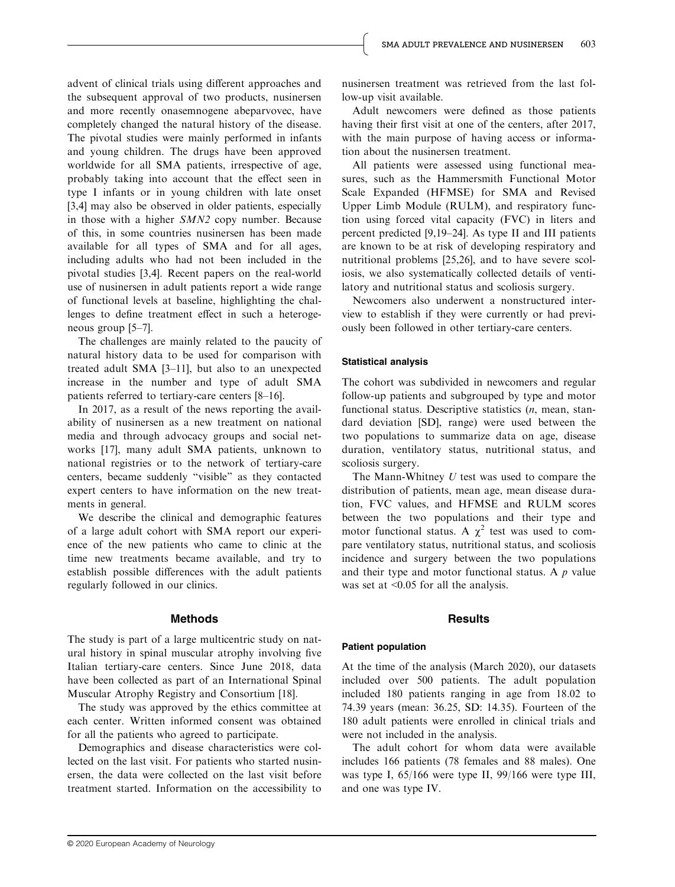advent of clinical trials using different approaches and the subsequent approval of two products, nusinersen and more recently onasemnogene abeparvovec, have completely changed the natural history of the disease. The pivotal studies were mainly performed in infants and young children. The drugs have been approved worldwide for all SMA patients, irrespective of age, probably taking into account that the effect seen in type I infants or in young children with late onset [3,4] may also be observed in older patients, especially in those with a higher SMN2 copy number. Because of this, in some countries nusinersen has been made available for all types of SMA and for all ages, including adults who had not been included in the pivotal studies [3,4]. Recent papers on the real-world use of nusinersen in adult patients report a wide range of functional levels at baseline, highlighting the challenges to define treatment effect in such a heterogeneous group [5–7].

The challenges are mainly related to the paucity of natural history data to be used for comparison with treated adult SMA [3–11], but also to an unexpected increase in the number and type of adult SMA patients referred to tertiary-care centers [8–16].

In 2017, as a result of the news reporting the availability of nusinersen as a new treatment on national media and through advocacy groups and social networks [17], many adult SMA patients, unknown to national registries or to the network of tertiary-care centers, became suddenly "visible" as they contacted expert centers to have information on the new treatments in general.

We describe the clinical and demographic features of a large adult cohort with SMA report our experience of the new patients who came to clinic at the time new treatments became available, and try to establish possible differences with the adult patients regularly followed in our clinics.

#### Methods

The study is part of a large multicentric study on natural history in spinal muscular atrophy involving five Italian tertiary-care centers. Since June 2018, data have been collected as part of an International Spinal Muscular Atrophy Registry and Consortium [18].

The study was approved by the ethics committee at each center. Written informed consent was obtained for all the patients who agreed to participate.

Demographics and disease characteristics were collected on the last visit. For patients who started nusinersen, the data were collected on the last visit before treatment started. Information on the accessibility to nusinersen treatment was retrieved from the last follow-up visit available.

Adult newcomers were defined as those patients having their first visit at one of the centers, after 2017, with the main purpose of having access or information about the nusinersen treatment.

All patients were assessed using functional measures, such as the Hammersmith Functional Motor Scale Expanded (HFMSE) for SMA and Revised Upper Limb Module (RULM), and respiratory function using forced vital capacity (FVC) in liters and percent predicted [9,19–24]. As type II and III patients are known to be at risk of developing respiratory and nutritional problems [25,26], and to have severe scoliosis, we also systematically collected details of ventilatory and nutritional status and scoliosis surgery.

Newcomers also underwent a nonstructured interview to establish if they were currently or had previously been followed in other tertiary-care centers.

#### Statistical analysis

The cohort was subdivided in newcomers and regular follow-up patients and subgrouped by type and motor functional status. Descriptive statistics (n, mean, standard deviation [SD], range) were used between the two populations to summarize data on age, disease duration, ventilatory status, nutritional status, and scoliosis surgery.

The Mann-Whitney  $U$  test was used to compare the distribution of patients, mean age, mean disease duration, FVC values, and HFMSE and RULM scores between the two populations and their type and motor functional status. A  $\chi^2$  test was used to compare ventilatory status, nutritional status, and scoliosis incidence and surgery between the two populations and their type and motor functional status. A  $p$  value was set at <0.05 for all the analysis.

#### **Results**

#### Patient population

At the time of the analysis (March 2020), our datasets included over 500 patients. The adult population included 180 patients ranging in age from 18.02 to 74.39 years (mean: 36.25, SD: 14.35). Fourteen of the 180 adult patients were enrolled in clinical trials and were not included in the analysis.

The adult cohort for whom data were available includes 166 patients (78 females and 88 males). One was type I, 65/166 were type II, 99/166 were type III, and one was type IV.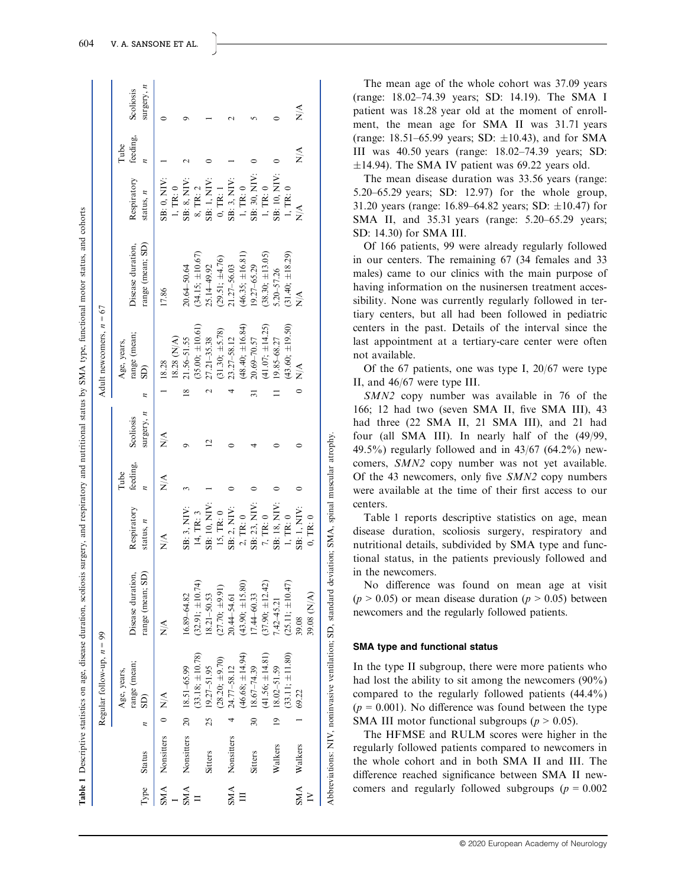| į                                                                                |  |
|----------------------------------------------------------------------------------|--|
| j<br>֖֖֖֖֖֧ׅ֖֧ׅ֖֧֚֚֚֚֚֚֚֚֚֚֚֚֚֚֚֚֚֚֚֚֚֚֚֚֚֬֝֝֝                                   |  |
|                                                                                  |  |
|                                                                                  |  |
|                                                                                  |  |
|                                                                                  |  |
|                                                                                  |  |
| athe<br>j                                                                        |  |
|                                                                                  |  |
|                                                                                  |  |
|                                                                                  |  |
|                                                                                  |  |
|                                                                                  |  |
|                                                                                  |  |
|                                                                                  |  |
|                                                                                  |  |
|                                                                                  |  |
| ţ                                                                                |  |
|                                                                                  |  |
|                                                                                  |  |
| I<br>ţ                                                                           |  |
| ₿                                                                                |  |
|                                                                                  |  |
|                                                                                  |  |
|                                                                                  |  |
| ì                                                                                |  |
|                                                                                  |  |
| į                                                                                |  |
| ֚֘֝֬                                                                             |  |
| i                                                                                |  |
|                                                                                  |  |
|                                                                                  |  |
| j                                                                                |  |
|                                                                                  |  |
| i                                                                                |  |
| j                                                                                |  |
|                                                                                  |  |
|                                                                                  |  |
| I                                                                                |  |
|                                                                                  |  |
|                                                                                  |  |
|                                                                                  |  |
|                                                                                  |  |
|                                                                                  |  |
| Ē<br>֚֬֕                                                                         |  |
|                                                                                  |  |
|                                                                                  |  |
| ¢                                                                                |  |
|                                                                                  |  |
| a construction of the construction                                               |  |
| ì                                                                                |  |
|                                                                                  |  |
| j<br>į                                                                           |  |
|                                                                                  |  |
| ı                                                                                |  |
| î                                                                                |  |
| ֠<br>Ē                                                                           |  |
|                                                                                  |  |
| l                                                                                |  |
|                                                                                  |  |
|                                                                                  |  |
|                                                                                  |  |
| i<br>j<br>١                                                                      |  |
| $\ddot{ }$<br>3                                                                  |  |
| ١                                                                                |  |
|                                                                                  |  |
|                                                                                  |  |
|                                                                                  |  |
|                                                                                  |  |
|                                                                                  |  |
| i                                                                                |  |
|                                                                                  |  |
|                                                                                  |  |
|                                                                                  |  |
|                                                                                  |  |
|                                                                                  |  |
|                                                                                  |  |
| ׇ֚֘֡                                                                             |  |
|                                                                                  |  |
| $\frac{1}{2}$                                                                    |  |
| ł                                                                                |  |
| ֧֧֧֧֧֧֧֧֧֧֧֧֦֧֧֧֚֚֚֚֚֚֚֚֚֚֚֚֚֚֚֚֚֚֚֚֚֚֚֚֚֚֚֚֚֚֚֝֝֓֝֓֝֓֓֡֓֓֓֡֬֓֓֡֬֓֓֡֓֓֝֬֝֬֝֓֝֬֝֬ |  |
| $\ddot{ }$                                                                       |  |
|                                                                                  |  |
|                                                                                  |  |
|                                                                                  |  |
| ֖֖֖֖֖ׅׅ֪֪ׅ֚֚֚֚֚֚֚֚֚֚֚֚֚֚֚֚֚֚֚֡֡֡֡֓֡֡֬֓֡֡֓֡֬                                      |  |
| age.<br>¢                                                                        |  |
| ׇ֖֖֪֪֪֧֧֪֪֪֦֖֪֪֪ׅ֪֪֪֪֪֪֪֪֪֪֪֪֪֪֪ׅ֚֚֚֚֚֚֚֚֚֚֚֚֚֚֚֚֚֚֡֬֝֬֝֓֡֝֓֝֬֝֬֝֓֓              |  |
| i<br>ì                                                                           |  |
|                                                                                  |  |
|                                                                                  |  |
|                                                                                  |  |
| ustics                                                                           |  |
| ֚֚֕֕                                                                             |  |
| j                                                                                |  |
|                                                                                  |  |
|                                                                                  |  |
| ֕                                                                                |  |
| l                                                                                |  |
|                                                                                  |  |
|                                                                                  |  |
|                                                                                  |  |
| ١<br>l                                                                           |  |
|                                                                                  |  |
| ı                                                                                |  |
|                                                                                  |  |
| i                                                                                |  |
| I<br>֘֝֕                                                                         |  |

orts

|            |                      |   | Regular follow-up, $n = 99$ |                                     |                              |                  |                  | Adult newcomers, $n = 67$   |                      |               |                  |                           |
|------------|----------------------|---|-----------------------------|-------------------------------------|------------------------------|------------------|------------------|-----------------------------|----------------------|---------------|------------------|---------------------------|
|            |                      |   | range (mean;<br>Age, years, | Disease duration,                   | Respiratory                  | feeding,<br>Tube | Scoliosis        | range (mean;<br>Age, years, | Disease duration,    | Respiratory   | feeding,<br>Tube | Scoliosis                 |
| Type       | <b>Status</b>        | z | SD)                         | range (mean; SD)                    | status, $n$                  |                  | surgery, n       | $\overline{\text{SD}}$      | range (mean; SD)     | status, $n$   |                  | surgery, $n$              |
|            | SMA Nonsitters 0 N/A |   |                             | $\frac{\triangleleft}{\triangle}$   | $\stackrel{\triangle}{\geq}$ | $\sum_{i=1}^{n}$ | $\frac{1}{\sum}$ | 18.28                       | 17.86                | SB: 0, NIV:   |                  |                           |
| j.         |                      |   |                             |                                     |                              |                  |                  | 18.28 (N/A)                 |                      | 1, TR: 0      |                  |                           |
| SMA        |                      |   | Nonsitters 20 18.51-65.99   | 16.89-64.82                         | SB: 3, NIV:                  |                  |                  | $21.56 - 51.55$             | 20.64-50.64          | SB: 8, NIV:   |                  |                           |
|            |                      |   | 33.18; $\pm 10.78$ )        | $(32.91; \pm 10.74)$<br>18.21-50.53 | 14, TR: 3                    |                  |                  | $(35.00;\pm 10.61)$         | $(34.15; \pm 10.67)$ | 8, TR: 2      |                  |                           |
|            | <b>Sitters</b>       |   | $25$ 19.27-51.95            |                                     | SB: 10, NIV:                 |                  |                  | $27.21 - 35.38$             | 25.14 49.92          | SB: 1, NIV:   |                  |                           |
|            |                      |   | $28.20; \pm 9.70$           | $(27.70; \pm 9.91)$                 | 15, TR: 0                    |                  |                  | $(31.30; \pm 5.78)$         | $(29.51; \pm 4.76)$  | $0,$ TR: $1$  |                  |                           |
| <b>SMA</b> |                      |   | Nonsitters 4 24.77-58.12    | 20.44-54.61                         | SB: 2, NIV:                  |                  |                  | $23.27 - 58.12$             | 21.27-56.03          | SB: 3, NIV:   |                  |                           |
| $\Xi$      |                      |   | $(46.68; \pm 14.94)$        | $(43.90; \pm 15.80)$                | 2, TR: 0                     |                  |                  | $(48.40; \pm 16.84)$        | $(46.35; \pm 16.81)$ | 1, TR: 0      |                  |                           |
|            | <b>Sitters</b>       |   | $30$ 18.67-74.39            | $.7.44 - 60.33$                     | SB: 23, NIV:                 |                  |                  | 20.69-70.57                 | $19.27 - 65.29$      | SB: 30, NIV:  |                  |                           |
|            |                      |   | $41.56; \pm 14.81$          | $(37.90; \pm 12.42)$                | 7, TR: $0$                   |                  |                  | $(41.07; \pm 14.25)$        | $(38.30; \pm 13.05)$ | 1, TR: 0      |                  |                           |
|            | Walkers              |   | 19 18.02-51.59              | $1.42 - 45.21$                      | SB: 18, NIV:                 |                  |                  | 19.85-68.27                 | 5.20-57.26           | SB: 10, NIV:  |                  |                           |
|            |                      |   | $(33.11; \pm 11.80)$        | $(25.11; \pm 10.47)$                | 1, TR: 0                     |                  |                  | $(43.60; \pm 19.50)$        | $(31.40; \pm 18.29)$ | 1, TR: 0      |                  |                           |
| SMA        | Walkers              |   | 69.22                       | 39.08                               | SB: 1, NIV:                  |                  |                  | $\frac{1}{2}$               | $\frac{A}{Z}$        | $\frac{4}{5}$ | $\sum_{i=1}^{n}$ | $\mathbb{X}^{\mathsf{A}}$ |
|            |                      |   |                             | 39.08 (N/A)                         | 0, TR: 0                     |                  |                  |                             |                      |               |                  |                           |

The mean age of the whole cohort was 37.09 years (range: 18.02–74.39 years; SD: 14.19). The SMA I patient was 18.28 year old at the moment of enrollment, the mean age for SMA II was 31.71 years (range: 18.51–65.99 years; SD:  $\pm 10.43$ ), and for SMA III was 40.50 years (range: 18.02–74.39 years; SD:  $\pm$ 14.94). The SMA IV patient was 69.22 years old.

The mean disease duration was 33.56 years (range: 5.20–65.29 years; SD: 12.97) for the whole group, 31.20 years (range: 16.89–64.82 years; SD:  $\pm 10.47$ ) for SMA II, and 35.31 years (range: 5.20–65.29 years; SD: 14.30) for SMA III.

Of 166 patients, 99 were already regularly followed in our centers. The remaining 67 (34 females and 33 males) came to our clinics with the main purpose of having information on the nusinersen treatment accessibility. None was currently regularly followed in tertiary centers, but all had been followed in pediatric centers in the past. Details of the interval since the last appointment at a tertiary-care center were often not available.

Of the 67 patients, one was type I, 20/67 were type II, and 46/67 were type III.

SMN2 copy number was available in 76 of the 166; 12 had two (seven SMA II, five SMA III), 43 had three (22 SMA II, 21 SMA III), and 21 had four (all SMA III). In nearly half of the (49/99, 49.5%) regularly followed and in 43/67 (64.2%) newcomers, SMN2 copy number was not yet available. Of the 43 newcomers, only five SMN2 copy numbers were available at the time of their first access to our centers.

Table 1 reports descriptive statistics on age, mean disease duration, scoliosis surgery, respiratory and nutritional details, subdivided by SMA type and functional status, in the patients previously followed and in the newcomers.

No difference was found on mean age at visit  $(p > 0.05)$  or mean disease duration  $(p > 0.05)$  between newcomers and the regularly followed patients.

#### SMA type and functional status

Abbreviations: NIV, noninvasive ventilation; SD, standard deviation; SMA, spinal muscular atrophy.

Abbreviations: NIV, noninvasive ventilation; SD, standard deviation; SMA, spinal muscular atrophy

In the type II subgroup, there were more patients who had lost the ability to sit among the newcomers (90%) compared to the regularly followed patients (44.4%)  $(p = 0.001)$ . No difference was found between the type SMA III motor functional subgroups ( $p > 0.05$ ).

The HFMSE and RULM scores were higher in the regularly followed patients compared to newcomers in the whole cohort and in both SMA II and III. The difference reached significance between SMA II newcomers and regularly followed subgroups ( $p = 0.002$ )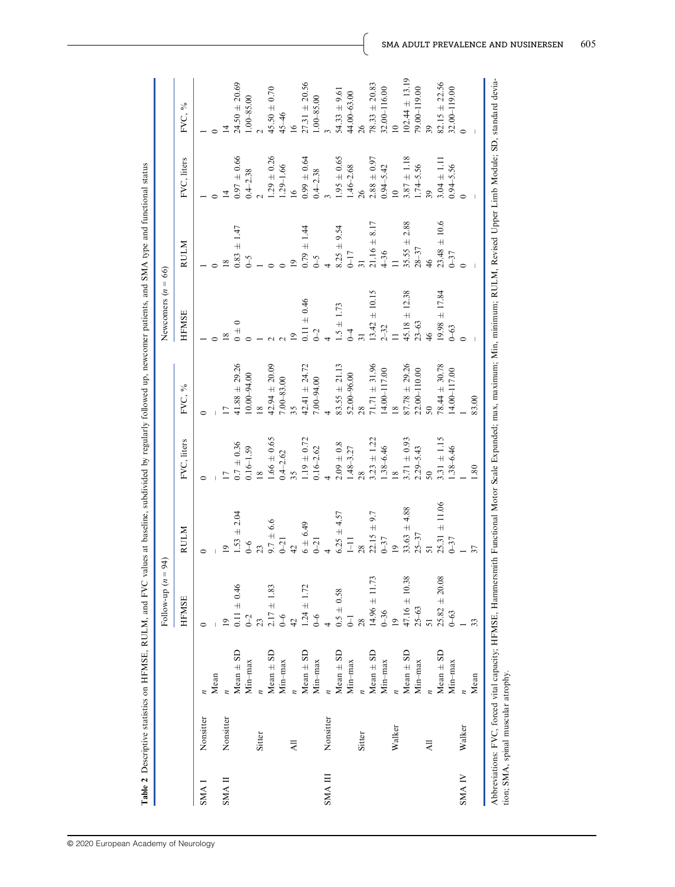|              |           |               | Follow-up $(n = 94)$    |                       |                          |                          | Newcomers $(n = 66)$ |                                           |                 |                        |
|--------------|-----------|---------------|-------------------------|-----------------------|--------------------------|--------------------------|----------------------|-------------------------------------------|-----------------|------------------------|
|              |           |               | <b>HFMSE</b>            | RULM                  | FVC, liters              | FVC, %                   | <b>HFMSE</b>         | <b>RULM</b>                               | FVC, liters     | FVC, %                 |
| <b>I ANN</b> | Nonsitter |               |                         |                       |                          |                          |                      |                                           |                 |                        |
|              |           | Mean          |                         |                       |                          |                          |                      |                                           |                 |                        |
| SMA II       | Nonsitter |               | $\overline{1}$          | $\circ$               | $\overline{\phantom{0}}$ | $\overline{\phantom{0}}$ | $\overline{18}$      | $\frac{8}{2}$                             |                 |                        |
|              |           | $Mean \pm SD$ | $0.11 \pm 0.46$         | $1.53 \pm 2.04$       | $0.7 \pm 0.36$           | $41.88 \pm 29.26$        | $0 + 0$              | $0.83 \pm 1.47$                           | $0.97 \pm 0.66$ | $24.50 \pm 20.69$      |
|              |           | Min-max       | $0\hbox{--}2$           | $6-6$                 | $0.16 - 1.59$            | $10.00 - 94.00$          |                      | $\zeta$ -0                                | $0.4 - 2.38$    | $1.00 - 85.00$         |
|              | Sitter    |               | 23                      | 23                    | $\frac{8}{2}$            | $\frac{8}{2}$            |                      |                                           |                 |                        |
|              |           | $Mean \pm SD$ | $2.17 \pm 1.83$         | $9.7 \pm 6.6$<br>0-21 | $1.66\,\pm\,0.65$        | $42.94 \pm 20.09$        |                      |                                           | $1.29 \pm 0.26$ | $45.50 \pm 0.70$       |
|              |           | Min-max       | $0\text{--}6$           |                       | $0.4 - 2.62$             | $7.00 - 83.00$           |                      |                                           | $1.29 - 1.66$   | $45 - 46$              |
|              | ĀЦ        |               | $\overline{42}$         | $\frac{1}{4}$         | 35 <sub>5</sub>          | 35 <sub>1</sub>          | $\overline{1}$       | $\overline{9}$                            | $\overline{16}$ | 16                     |
|              |           | $Mean \pm SD$ | $1.24 \pm 1.72$         | $6 + 6.49$            | $1.19 \pm 0.72$          | $42.41 + 24.72$          | $0.11 \pm 0.46$      | $0.79 \pm 1.44$                           | $0.99 \pm 0.64$ | $27.31 \pm 20.56$      |
|              |           | Min-max       | $6 - 6$                 | $0 - 21$              | $0.16 - 2.62$            | $7.00 - 94.00$           | $0 - 2$              | $\zeta$ -0                                | $0.4 - 2.38$    | $1.00 - 85.00$         |
| <b>SMAII</b> | Nonsitter |               |                         |                       |                          |                          |                      |                                           |                 |                        |
|              |           | $Mean \pm SD$ | $0.5\,\pm\,0.58$        | $6.25 \pm 4.57$       | $2.09\,\pm\,0.8$         | $83.55 \pm 21.13$        | $1.5 \pm 1.73$       | $8.25 \pm 9.54$                           | $1.95 \pm 0.65$ | $54.33 \pm 9.61$       |
|              |           | $Min-max$     | $\overline{\mathsf{I}}$ | $\bar{=}$             | $1.48 - 3.27$            | $52.00 - 96.00$          | $\overline{1}$       | $\begin{array}{c} 0-17 \\ 31 \end{array}$ | $1.46 - 2.68$   | $44.00 - 63.00$        |
|              | Sitter    |               | 28                      | 28                    | 28                       | $\frac{28}{3}$           | $\overline{31}$      |                                           | 26              | 26                     |
|              |           | $Mean \pm SD$ | $14.96 \pm 11.73$       | $22.15 \pm 9.7$       | $3.23 \pm 1.22$          | $71.71 \pm 31.96$        | $13.42 \pm 10.15$    | $21.16 \pm 8.17$                          | $2.88 \pm 0.97$ | $78.33 \pm 20.83$      |
|              |           | Min-max       | $0 - 36$                | $0 - 37$              | $1.38 - 6.46$            | $14.00 - 117.00$         | $2 - 32$             | $4 - 36$                                  | $0.94 - 5.42$   | $32.00 - 116.00$<br>10 |
|              | Walker    |               | $\overline{0}$          | $\overline{1}$        | $\frac{8}{2}$            | $\frac{8}{2}$            | $\equiv$             | $\overline{a}$                            | $\overline{10}$ |                        |
|              |           | $Mean \pm SD$ | $47.16 \pm 10.38$       | $33.63 \pm 4.88$      | $3.71 \pm 0.93$          | $87.78 \pm 29.26$        | $45.18 \pm 12.38$    | $35.55 \pm 2.88$                          | $3.87 \pm 1.18$ | $102.44 \pm 13.19$     |
|              |           | Min-max       | $25 - 63$               | $25 - 37$             | $2.29 - 5.43$            | $22.00 - 110.00$         | $23 - 63$            | $28 - 37$                                 | $1.74 - 5.56$   | 79.00-119.00           |
|              | 크         |               | 51                      |                       | 50 <sub>o</sub>          |                          | $46\,$               | $46\,$                                    | 39 <sub>o</sub> | 39                     |
|              |           | $Mean \pm SD$ | $25.82 \pm 20.08$       | $25.31 \pm 11.06$     | $3.31 \pm 1.15$          | $78.44 \pm 30.78$        | $19.98 \pm 17.84$    | $\pm 10.6$<br>23.48                       | $3.04 \pm 1.11$ | $82.15 \pm 22.56$      |
|              |           | $Min-max$     | $0 - 63$                | $0 - 37$              | $1.38 - 6.46$            | $14.00 - 117.00$         | $0 - 63$             | $0 - 37$                                  | $0.94 - 5.56$   | $32.00 - 119.00$       |
| <b>SMAIV</b> | Walker    |               |                         |                       |                          |                          |                      |                                           |                 |                        |
|              |           | Mean          | 33                      | 37                    | $\ddot{8}$               | 83.00                    |                      |                                           |                 |                        |

Table 2 Descriptive statistics on HFMSE, RULM, and FVC values at baseline, subdivided by regularly followed up, newcomer patients, and SMA type and functional status Table 2 Descriptive statistics on HFMSE, RULM, and FVC values at baseline, subdivided by regularly followed up, newcomer patients, and SMA type and functional status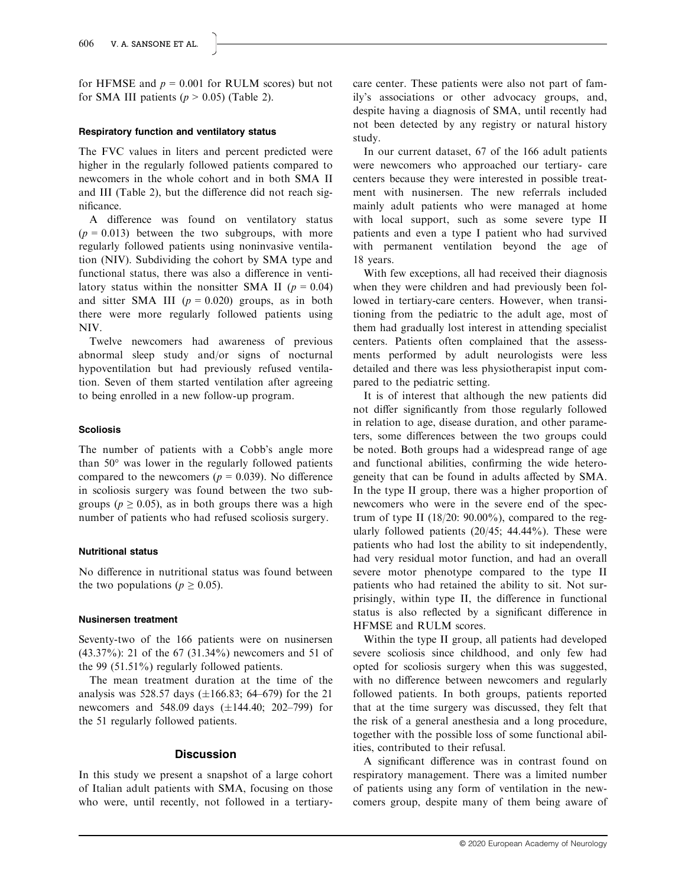for HFMSE and  $p = 0.001$  for RULM scores) but not for SMA III patients ( $p > 0.05$ ) (Table 2).

#### Respiratory function and ventilatory status

The FVC values in liters and percent predicted were higher in the regularly followed patients compared to newcomers in the whole cohort and in both SMA II and III (Table 2), but the difference did not reach significance.

A difference was found on ventilatory status  $(p = 0.013)$  between the two subgroups, with more regularly followed patients using noninvasive ventilation (NIV). Subdividing the cohort by SMA type and functional status, there was also a difference in ventilatory status within the nonsitter SMA II ( $p = 0.04$ ) and sitter SMA III  $(p = 0.020)$  groups, as in both there were more regularly followed patients using NIV.

Twelve newcomers had awareness of previous abnormal sleep study and/or signs of nocturnal hypoventilation but had previously refused ventilation. Seven of them started ventilation after agreeing to being enrolled in a new follow-up program.

#### Scoliosis

The number of patients with a Cobb's angle more than 50° was lower in the regularly followed patients compared to the newcomers ( $p = 0.039$ ). No difference in scoliosis surgery was found between the two subgroups ( $p \ge 0.05$ ), as in both groups there was a high number of patients who had refused scoliosis surgery.

### Nutritional status

No difference in nutritional status was found between the two populations ( $p \ge 0.05$ ).

#### Nusinersen treatment

Seventy-two of the 166 patients were on nusinersen (43.37%): 21 of the 67 (31.34%) newcomers and 51 of the 99 (51.51%) regularly followed patients.

The mean treatment duration at the time of the analysis was 528.57 days  $(\pm 166.83; 64–679)$  for the 21 newcomers and 548.09 days  $(\pm 144.40; 202 - 799)$  for the 51 regularly followed patients.

#### Discussion

In this study we present a snapshot of a large cohort of Italian adult patients with SMA, focusing on those who were, until recently, not followed in a tertiarycare center. These patients were also not part of family's associations or other advocacy groups, and, despite having a diagnosis of SMA, until recently had not been detected by any registry or natural history study.

In our current dataset, 67 of the 166 adult patients were newcomers who approached our tertiary- care centers because they were interested in possible treatment with nusinersen. The new referrals included mainly adult patients who were managed at home with local support, such as some severe type II patients and even a type I patient who had survived with permanent ventilation beyond the age of 18 years.

With few exceptions, all had received their diagnosis when they were children and had previously been followed in tertiary-care centers. However, when transitioning from the pediatric to the adult age, most of them had gradually lost interest in attending specialist centers. Patients often complained that the assessments performed by adult neurologists were less detailed and there was less physiotherapist input compared to the pediatric setting.

It is of interest that although the new patients did not differ significantly from those regularly followed in relation to age, disease duration, and other parameters, some differences between the two groups could be noted. Both groups had a widespread range of age and functional abilities, confirming the wide heterogeneity that can be found in adults affected by SMA. In the type II group, there was a higher proportion of newcomers who were in the severe end of the spectrum of type II  $(18/20: 90.00\%)$ , compared to the regularly followed patients  $(20/45; 44.44\%)$ . These were patients who had lost the ability to sit independently, had very residual motor function, and had an overall severe motor phenotype compared to the type II patients who had retained the ability to sit. Not surprisingly, within type II, the difference in functional status is also reflected by a significant difference in HFMSE and RULM scores.

Within the type II group, all patients had developed severe scoliosis since childhood, and only few had opted for scoliosis surgery when this was suggested, with no difference between newcomers and regularly followed patients. In both groups, patients reported that at the time surgery was discussed, they felt that the risk of a general anesthesia and a long procedure, together with the possible loss of some functional abilities, contributed to their refusal.

A significant difference was in contrast found on respiratory management. There was a limited number of patients using any form of ventilation in the newcomers group, despite many of them being aware of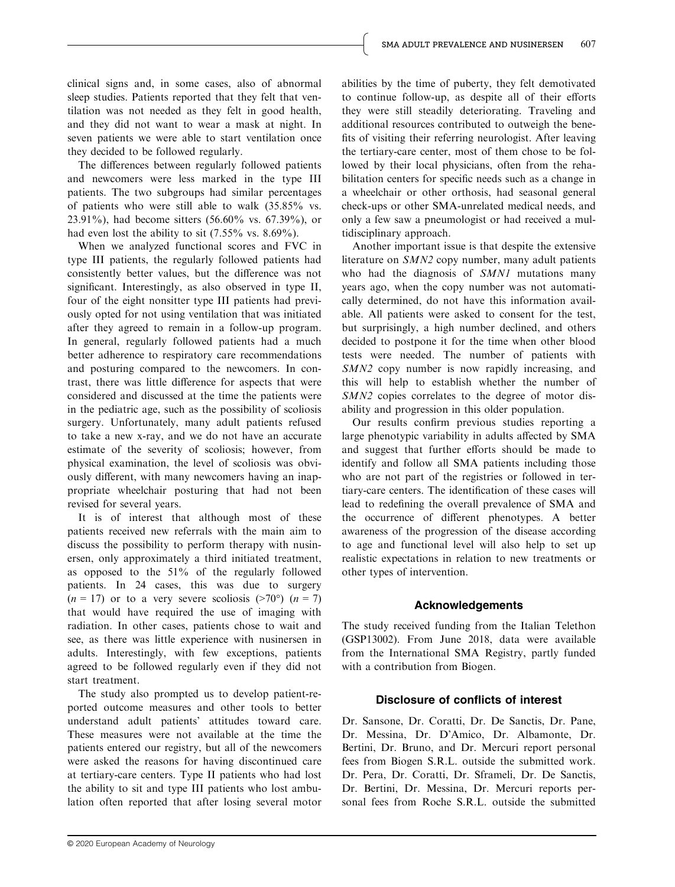clinical signs and, in some cases, also of abnormal sleep studies. Patients reported that they felt that ventilation was not needed as they felt in good health, and they did not want to wear a mask at night. In seven patients we were able to start ventilation once they decided to be followed regularly.

The differences between regularly followed patients and newcomers were less marked in the type III patients. The two subgroups had similar percentages of patients who were still able to walk (35.85% vs. 23.91%), had become sitters (56.60% vs. 67.39%), or had even lost the ability to sit (7.55% vs. 8.69%).

When we analyzed functional scores and FVC in type III patients, the regularly followed patients had consistently better values, but the difference was not significant. Interestingly, as also observed in type II, four of the eight nonsitter type III patients had previously opted for not using ventilation that was initiated after they agreed to remain in a follow-up program. In general, regularly followed patients had a much better adherence to respiratory care recommendations and posturing compared to the newcomers. In contrast, there was little difference for aspects that were considered and discussed at the time the patients were in the pediatric age, such as the possibility of scoliosis surgery. Unfortunately, many adult patients refused to take a new x-ray, and we do not have an accurate estimate of the severity of scoliosis; however, from physical examination, the level of scoliosis was obviously different, with many newcomers having an inappropriate wheelchair posturing that had not been revised for several years.

It is of interest that although most of these patients received new referrals with the main aim to discuss the possibility to perform therapy with nusinersen, only approximately a third initiated treatment, as opposed to the 51% of the regularly followed patients. In 24 cases, this was due to surgery  $(n = 17)$  or to a very severe scoliosis (>70°)  $(n = 7)$ that would have required the use of imaging with radiation. In other cases, patients chose to wait and see, as there was little experience with nusinersen in adults. Interestingly, with few exceptions, patients agreed to be followed regularly even if they did not start treatment.

The study also prompted us to develop patient-reported outcome measures and other tools to better understand adult patients' attitudes toward care. These measures were not available at the time the patients entered our registry, but all of the newcomers were asked the reasons for having discontinued care at tertiary-care centers. Type II patients who had lost the ability to sit and type III patients who lost ambulation often reported that after losing several motor

abilities by the time of puberty, they felt demotivated to continue follow-up, as despite all of their efforts they were still steadily deteriorating. Traveling and additional resources contributed to outweigh the benefits of visiting their referring neurologist. After leaving the tertiary-care center, most of them chose to be followed by their local physicians, often from the rehabilitation centers for specific needs such as a change in a wheelchair or other orthosis, had seasonal general check-ups or other SMA-unrelated medical needs, and only a few saw a pneumologist or had received a multidisciplinary approach.

Another important issue is that despite the extensive literature on SMN2 copy number, many adult patients who had the diagnosis of SMN1 mutations many years ago, when the copy number was not automatically determined, do not have this information available. All patients were asked to consent for the test, but surprisingly, a high number declined, and others decided to postpone it for the time when other blood tests were needed. The number of patients with SMN2 copy number is now rapidly increasing, and this will help to establish whether the number of SMN<sub>2</sub> copies correlates to the degree of motor disability and progression in this older population.

Our results confirm previous studies reporting a large phenotypic variability in adults affected by SMA and suggest that further efforts should be made to identify and follow all SMA patients including those who are not part of the registries or followed in tertiary-care centers. The identification of these cases will lead to redefining the overall prevalence of SMA and the occurrence of different phenotypes. A better awareness of the progression of the disease according to age and functional level will also help to set up realistic expectations in relation to new treatments or other types of intervention.

# Acknowledgements

The study received funding from the Italian Telethon (GSP13002). From June 2018, data were available from the International SMA Registry, partly funded with a contribution from Biogen.

# Disclosure of conflicts of interest

Dr. Sansone, Dr. Coratti, Dr. De Sanctis, Dr. Pane, Dr. Messina, Dr. D'Amico, Dr. Albamonte, Dr. Bertini, Dr. Bruno, and Dr. Mercuri report personal fees from Biogen S.R.L. outside the submitted work. Dr. Pera, Dr. Coratti, Dr. Sframeli, Dr. De Sanctis, Dr. Bertini, Dr. Messina, Dr. Mercuri reports personal fees from Roche S.R.L. outside the submitted